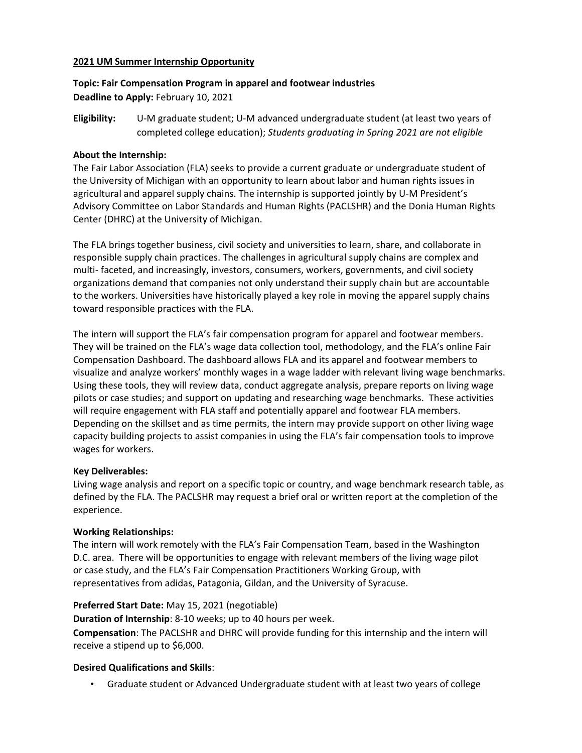## **2021 UM Summer Internship Opportunity**

# **Topic: Fair Compensation Program in apparel and footwear industries Deadline to Apply:** February 10, 2021

**Eligibility:** U-M graduate student; U-M advanced undergraduate student (at least two years of completed college education); *Students graduating in Spring 2021 are not eligible*

#### **About the Internship:**

The Fair Labor Association (FLA) seeks to provide a current graduate or undergraduate student of the University of Michigan with an opportunity to learn about labor and human rights issues in agricultural and apparel supply chains. The internship is supported jointly by U-M President's Advisory Committee on Labor Standards and Human Rights (PACLSHR) and the Donia Human Rights Center (DHRC) at the University of Michigan.

The FLA brings together business, civil society and universities to learn, share, and collaborate in responsible supply chain practices. The challenges in agricultural supply chains are complex and multi- faceted, and increasingly, investors, consumers, workers, governments, and civil society organizations demand that companies not only understand their supply chain but are accountable to the workers. Universities have historically played a key role in moving the apparel supply chains toward responsible practices with the FLA.

The intern will support the FLA's fair compensation program for apparel and footwear members. They will be trained on the FLA's wage data collection tool, methodology, and the FLA's online Fair Compensation Dashboard. The dashboard allows FLA and its apparel and footwear members to visualize and analyze workers' monthly wages in a wage ladder with relevant living wage benchmarks. Using these tools, they will review data, conduct aggregate analysis, prepare reports on living wage pilots or case studies; and support on updating and researching wage benchmarks. These activities will require engagement with FLA staff and potentially apparel and footwear FLA members. Depending on the skillset and as time permits, the intern may provide support on other living wage capacity building projects to assist companies in using the FLA's fair compensation tools to improve wages for workers.

#### **Key Deliverables:**

Living wage analysis and report on a specific topic or country, and wage benchmark research table, as defined by the FLA. The PACLSHR may request a brief oral or written report at the completion of the experience.

#### **Working Relationships:**

The intern will work remotely with the FLA's Fair Compensation Team, based in the Washington D.C. area. There will be opportunities to engage with relevant members of the living wage pilot or case study, and the FLA's Fair Compensation Practitioners Working Group, with representatives from adidas, Patagonia, Gildan, and the University of Syracuse.

## **Preferred Start Date:** May 15, 2021 (negotiable)

**Duration of Internship**: 8-10 weeks; up to 40 hours per week.

**Compensation**: The PACLSHR and DHRC will provide funding for this internship and the intern will receive a stipend up to \$6,000.

## **Desired Qualifications and Skills**:

• Graduate student or Advanced Undergraduate student with at least two years of college